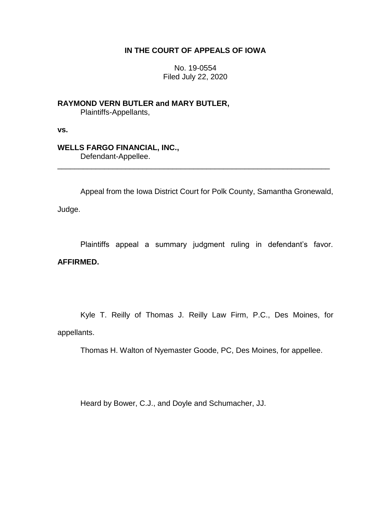## **IN THE COURT OF APPEALS OF IOWA**

No. 19-0554 Filed July 22, 2020

**RAYMOND VERN BUTLER and MARY BUTLER,** Plaintiffs-Appellants,

**vs.**

# **WELLS FARGO FINANCIAL, INC.,**

Defendant-Appellee.

Appeal from the Iowa District Court for Polk County, Samantha Gronewald,

\_\_\_\_\_\_\_\_\_\_\_\_\_\_\_\_\_\_\_\_\_\_\_\_\_\_\_\_\_\_\_\_\_\_\_\_\_\_\_\_\_\_\_\_\_\_\_\_\_\_\_\_\_\_\_\_\_\_\_\_\_\_\_\_

Judge.

Plaintiffs appeal a summary judgment ruling in defendant's favor.

# **AFFIRMED.**

Kyle T. Reilly of Thomas J. Reilly Law Firm, P.C., Des Moines, for appellants.

Thomas H. Walton of Nyemaster Goode, PC, Des Moines, for appellee.

Heard by Bower, C.J., and Doyle and Schumacher, JJ.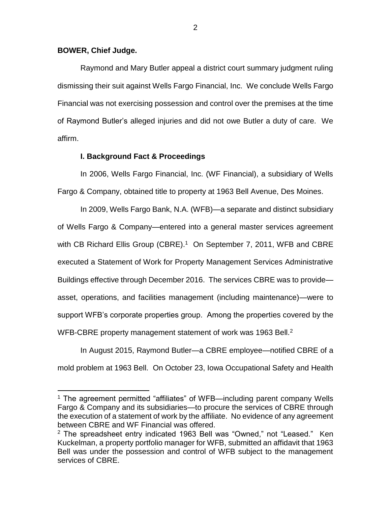#### **BOWER, Chief Judge.**

 $\overline{a}$ 

Raymond and Mary Butler appeal a district court summary judgment ruling dismissing their suit against Wells Fargo Financial, Inc. We conclude Wells Fargo Financial was not exercising possession and control over the premises at the time of Raymond Butler's alleged injuries and did not owe Butler a duty of care. We affirm.

#### **I. Background Fact & Proceedings**

In 2006, Wells Fargo Financial, Inc. (WF Financial), a subsidiary of Wells Fargo & Company, obtained title to property at 1963 Bell Avenue, Des Moines.

In 2009, Wells Fargo Bank, N.A. (WFB)—a separate and distinct subsidiary of Wells Fargo & Company—entered into a general master services agreement with CB Richard Ellis Group (CBRE).<sup>1</sup> On September 7, 2011, WFB and CBRE executed a Statement of Work for Property Management Services Administrative Buildings effective through December 2016. The services CBRE was to provide asset, operations, and facilities management (including maintenance)—were to support WFB's corporate properties group. Among the properties covered by the WFB-CBRE property management statement of work was 1963 Bell.<sup>2</sup>

In August 2015, Raymond Butler—a CBRE employee—notified CBRE of a mold problem at 1963 Bell. On October 23, Iowa Occupational Safety and Health

<sup>&</sup>lt;sup>1</sup> The agreement permitted "affiliates" of WFB—including parent company Wells Fargo & Company and its subsidiaries—to procure the services of CBRE through the execution of a statement of work by the affiliate. No evidence of any agreement between CBRE and WF Financial was offered.

 $2$  The spreadsheet entry indicated 1963 Bell was "Owned," not "Leased." Ken Kuckelman, a property portfolio manager for WFB, submitted an affidavit that 1963 Bell was under the possession and control of WFB subject to the management services of CBRE.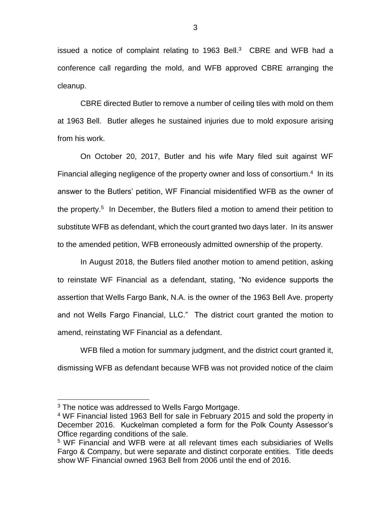issued a notice of complaint relating to 1963 Bell. $3$  CBRE and WFB had a conference call regarding the mold, and WFB approved CBRE arranging the cleanup.

CBRE directed Butler to remove a number of ceiling tiles with mold on them at 1963 Bell. Butler alleges he sustained injuries due to mold exposure arising from his work.

On October 20, 2017, Butler and his wife Mary filed suit against WF Financial alleging negligence of the property owner and loss of consortium.<sup>4</sup> In its answer to the Butlers' petition, WF Financial misidentified WFB as the owner of the property.<sup>5</sup> In December, the Butlers filed a motion to amend their petition to substitute WFB as defendant, which the court granted two days later. In its answer to the amended petition, WFB erroneously admitted ownership of the property.

In August 2018, the Butlers filed another motion to amend petition, asking to reinstate WF Financial as a defendant, stating, "No evidence supports the assertion that Wells Fargo Bank, N.A. is the owner of the 1963 Bell Ave. property and not Wells Fargo Financial, LLC." The district court granted the motion to amend, reinstating WF Financial as a defendant.

WFB filed a motion for summary judgment, and the district court granted it, dismissing WFB as defendant because WFB was not provided notice of the claim

 $\overline{a}$ 

 $3$  The notice was addressed to Wells Fargo Mortgage.

<sup>4</sup> WF Financial listed 1963 Bell for sale in February 2015 and sold the property in December 2016. Kuckelman completed a form for the Polk County Assessor's Office regarding conditions of the sale.

<sup>5</sup> WF Financial and WFB were at all relevant times each subsidiaries of Wells Fargo & Company, but were separate and distinct corporate entities. Title deeds show WF Financial owned 1963 Bell from 2006 until the end of 2016.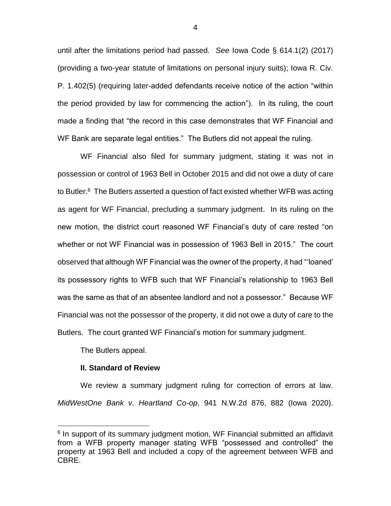until after the limitations period had passed. *See* Iowa Code § 614.1(2) (2017) (providing a two-year statute of limitations on personal injury suits); Iowa R. Civ. P. 1.402(5) (requiring later-added defendants receive notice of the action "within the period provided by law for commencing the action"). In its ruling, the court made a finding that "the record in this case demonstrates that WF Financial and WF Bank are separate legal entities." The Butlers did not appeal the ruling.

WF Financial also filed for summary judgment, stating it was not in possession or control of 1963 Bell in October 2015 and did not owe a duty of care to Butler. $6$  The Butlers asserted a question of fact existed whether WFB was acting as agent for WF Financial, precluding a summary judgment. In its ruling on the new motion, the district court reasoned WF Financial's duty of care rested "on whether or not WF Financial was in possession of 1963 Bell in 2015." The court observed that although WF Financial was the owner of the property, it had "'loaned' its possessory rights to WFB such that WF Financial's relationship to 1963 Bell was the same as that of an absentee landlord and not a possessor." Because WF Financial was not the possessor of the property, it did not owe a duty of care to the Butlers. The court granted WF Financial's motion for summary judgment.

The Butlers appeal.

 $\overline{a}$ 

### **II. Standard of Review**

We review a summary judgment ruling for correction of errors at law. *MidWestOne Bank v. Heartland Co-op*, 941 N.W.2d 876, 882 (Iowa 2020).

<sup>&</sup>lt;sup>6</sup> In support of its summary judgment motion, WF Financial submitted an affidavit from a WFB property manager stating WFB "possessed and controlled" the property at 1963 Bell and included a copy of the agreement between WFB and CBRE.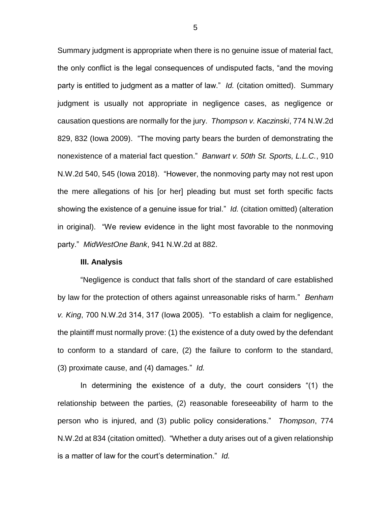Summary judgment is appropriate when there is no genuine issue of material fact, the only conflict is the legal consequences of undisputed facts, "and the moving party is entitled to judgment as a matter of law." *Id.* (citation omitted). Summary judgment is usually not appropriate in negligence cases, as negligence or causation questions are normally for the jury. *Thompson v. Kaczinski*, 774 N.W.2d 829, 832 (Iowa 2009). "The moving party bears the burden of demonstrating the nonexistence of a material fact question." *Banwart v. 50th St. Sports, L.L.C.*, 910 N.W.2d 540, 545 (Iowa 2018). "However, the nonmoving party may not rest upon the mere allegations of his [or her] pleading but must set forth specific facts showing the existence of a genuine issue for trial." *Id.* (citation omitted) (alteration in original). "We review evidence in the light most favorable to the nonmoving party." *MidWestOne Bank*, 941 N.W.2d at 882.

#### **III. Analysis**

"Negligence is conduct that falls short of the standard of care established by law for the protection of others against unreasonable risks of harm." *Benham v. King*, 700 N.W.2d 314, 317 (Iowa 2005). "To establish a claim for negligence, the plaintiff must normally prove: (1) the existence of a duty owed by the defendant to conform to a standard of care, (2) the failure to conform to the standard, (3) proximate cause, and (4) damages." *Id.* 

In determining the existence of a duty, the court considers "(1) the relationship between the parties, (2) reasonable foreseeability of harm to the person who is injured, and (3) public policy considerations." *Thompson*, 774 N.W.2d at 834 (citation omitted). "Whether a duty arises out of a given relationship is a matter of law for the court's determination." *Id.*

5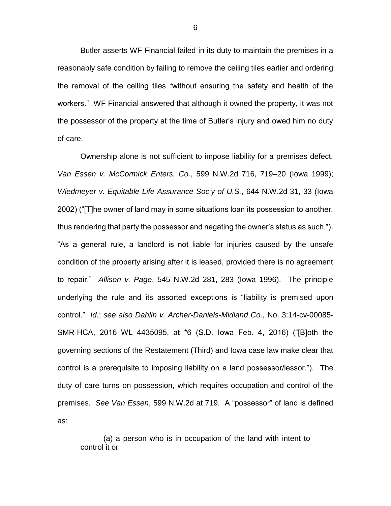Butler asserts WF Financial failed in its duty to maintain the premises in a reasonably safe condition by failing to remove the ceiling tiles earlier and ordering the removal of the ceiling tiles "without ensuring the safety and health of the workers." WF Financial answered that although it owned the property, it was not the possessor of the property at the time of Butler's injury and owed him no duty of care.

Ownership alone is not sufficient to impose liability for a premises defect. *Van Essen v. McCormick Enters. Co.*, 599 N.W.2d 716, 719–20 (Iowa 1999); *Wiedmeyer v. Equitable Life Assurance Soc'y of U.S.*, 644 N.W.2d 31, 33 (Iowa 2002) ("[T]he owner of land may in some situations loan its possession to another, thus rendering that party the possessor and negating the owner's status as such."). "As a general rule, a landlord is not liable for injuries caused by the unsafe condition of the property arising after it is leased, provided there is no agreement to repair." *Allison v. Page*, 545 N.W.2d 281, 283 (Iowa 1996). The principle underlying the rule and its assorted exceptions is "liability is premised upon control." *Id.*; *see also Dahlin v. Archer-Daniels-Midland Co.*, No. 3:14-cv-00085- SMR-HCA, 2016 WL 4435095, at \*6 (S.D. Iowa Feb. 4, 2016) ("[B]oth the governing sections of the Restatement (Third) and Iowa case law make clear that control is a prerequisite to imposing liability on a land possessor/lessor."). The duty of care turns on possession, which requires occupation and control of the premises. *See Van Essen*, 599 N.W.2d at 719.A "possessor" of land is defined as:

(a) a person who is in occupation of the land with intent to control it or

6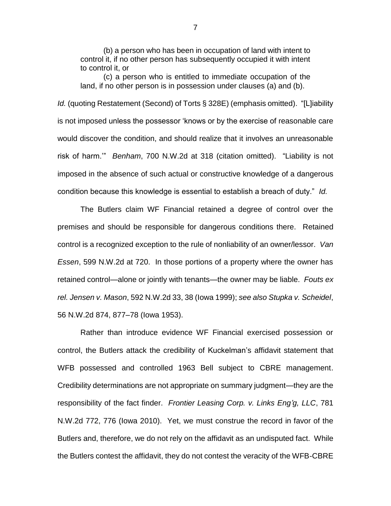(b) a person who has been in occupation of land with intent to control it, if no other person has subsequently occupied it with intent to control it, or

(c) a person who is entitled to immediate occupation of the land, if no other person is in possession under clauses (a) and (b).

*Id.* (quoting Restatement (Second) of Torts § 328E) (emphasis omitted). "[L]iability is not imposed unless the possessor 'knows or by the exercise of reasonable care would discover the condition, and should realize that it involves an unreasonable risk of harm.'" *Benham*, 700 N.W.2d at 318 (citation omitted). "Liability is not imposed in the absence of such actual or constructive knowledge of a dangerous condition because this knowledge is essential to establish a breach of duty." *Id.*

The Butlers claim WF Financial retained a degree of control over the premises and should be responsible for dangerous conditions there. Retained control is a recognized exception to the rule of nonliability of an owner/lessor. *Van Essen*, 599 N.W.2d at 720. In those portions of a property where the owner has retained control—alone or jointly with tenants—the owner may be liable. *Fouts ex rel. Jensen v. Mason*, 592 N.W.2d 33, 38 (Iowa 1999); *see also Stupka v. Scheidel*, 56 N.W.2d 874, 877–78 (Iowa 1953).

Rather than introduce evidence WF Financial exercised possession or control, the Butlers attack the credibility of Kuckelman's affidavit statement that WFB possessed and controlled 1963 Bell subject to CBRE management. Credibility determinations are not appropriate on summary judgment—they are the responsibility of the fact finder. *Frontier Leasing Corp. v. Links Eng'g, LLC*, 781 N.W.2d 772, 776 (Iowa 2010). Yet, we must construe the record in favor of the Butlers and, therefore, we do not rely on the affidavit as an undisputed fact. While the Butlers contest the affidavit, they do not contest the veracity of the WFB-CBRE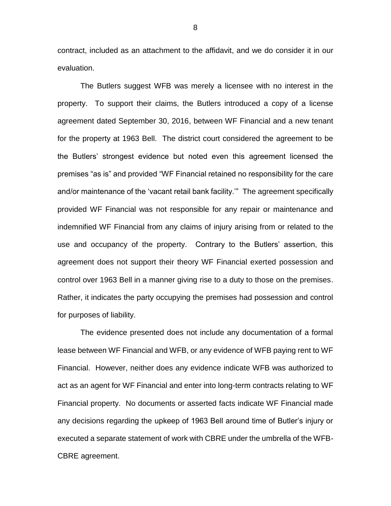contract, included as an attachment to the affidavit, and we do consider it in our evaluation.

The Butlers suggest WFB was merely a licensee with no interest in the property. To support their claims, the Butlers introduced a copy of a license agreement dated September 30, 2016, between WF Financial and a new tenant for the property at 1963 Bell. The district court considered the agreement to be the Butlers' strongest evidence but noted even this agreement licensed the premises "as is" and provided "WF Financial retained no responsibility for the care and/or maintenance of the 'vacant retail bank facility.'" The agreement specifically provided WF Financial was not responsible for any repair or maintenance and indemnified WF Financial from any claims of injury arising from or related to the use and occupancy of the property. Contrary to the Butlers' assertion, this agreement does not support their theory WF Financial exerted possession and control over 1963 Bell in a manner giving rise to a duty to those on the premises. Rather, it indicates the party occupying the premises had possession and control for purposes of liability.

The evidence presented does not include any documentation of a formal lease between WF Financial and WFB, or any evidence of WFB paying rent to WF Financial. However, neither does any evidence indicate WFB was authorized to act as an agent for WF Financial and enter into long-term contracts relating to WF Financial property. No documents or asserted facts indicate WF Financial made any decisions regarding the upkeep of 1963 Bell around time of Butler's injury or executed a separate statement of work with CBRE under the umbrella of the WFB-CBRE agreement.

8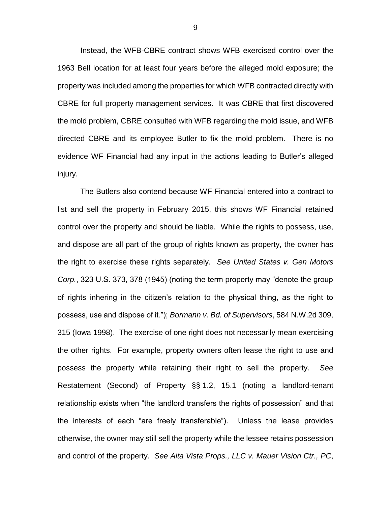Instead, the WFB-CBRE contract shows WFB exercised control over the 1963 Bell location for at least four years before the alleged mold exposure; the property was included among the properties for which WFB contracted directly with CBRE for full property management services. It was CBRE that first discovered the mold problem, CBRE consulted with WFB regarding the mold issue, and WFB directed CBRE and its employee Butler to fix the mold problem. There is no evidence WF Financial had any input in the actions leading to Butler's alleged injury.

The Butlers also contend because WF Financial entered into a contract to list and sell the property in February 2015, this shows WF Financial retained control over the property and should be liable. While the rights to possess, use, and dispose are all part of the group of rights known as property, the owner has the right to exercise these rights separately. *See United States v. Gen Motors Corp.*, 323 U.S. 373, 378 (1945) (noting the term property may "denote the group of rights inhering in the citizen's relation to the physical thing, as the right to possess, use and dispose of it."); *Bormann v. Bd. of Supervisors*, 584 N.W.2d 309, 315 (Iowa 1998). The exercise of one right does not necessarily mean exercising the other rights. For example, property owners often lease the right to use and possess the property while retaining their right to sell the property. *See*  Restatement (Second) of Property §§ 1.2, 15.1 (noting a landlord-tenant relationship exists when "the landlord transfers the rights of possession" and that the interests of each "are freely transferable"). Unless the lease provides otherwise, the owner may still sell the property while the lessee retains possession and control of the property. *See Alta Vista Props., LLC v. Mauer Vision Ctr., PC*,